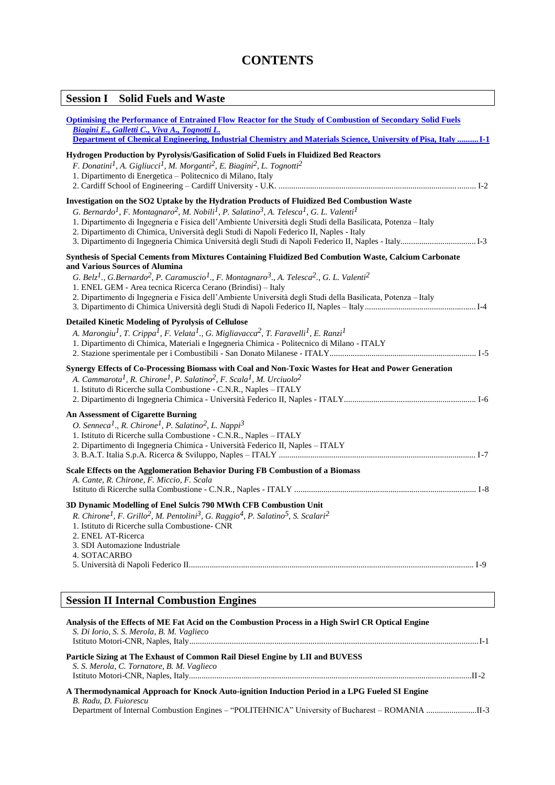# **CONTENTS**

| <b>Session I</b> Solid Fuels and Waste                                                                                                                                                                                                                                                                                                                                                                                                                                                           |
|--------------------------------------------------------------------------------------------------------------------------------------------------------------------------------------------------------------------------------------------------------------------------------------------------------------------------------------------------------------------------------------------------------------------------------------------------------------------------------------------------|
| <b>Optimising the Performance of Entrained Flow Reactor for the Study of Combustion of Secondary Solid Fuels</b><br>Biagini E., Galletti C., Viva A., Tognotti L.<br>Department of Chemical Engineering, Industrial Chemistry and Materials Science, University of Pisa, Italy I-1                                                                                                                                                                                                               |
| Hydrogen Production by Pyrolysis/Gasification of Solid Fuels in Fluidized Bed Reactors<br>F. Donatini <sup>1</sup> , A. Gigliucci <sup>1</sup> , M. Morganti <sup>2</sup> , E. Biagini <sup>2</sup> , L. Tognotti <sup>2</sup><br>1. Dipartimento di Energetica - Politecnico di Milano, Italy                                                                                                                                                                                                   |
| Investigation on the SO2 Uptake by the Hydration Products of Fluidized Bed Combustion Waste<br>G. Bernardo <sup>1</sup> , F. Montagnaro <sup>2</sup> , M. Nobili <sup>1</sup> , P. Salatino <sup>3</sup> , A. Telesca <sup>1</sup> , G. L. Valenti <sup>1</sup><br>1. Dipartimento di Ingegneria e Fisica dell'Ambiente Università degli Studi della Basilicata, Potenza - Italy<br>2. Dipartimento di Chimica, Università degli Studi di Napoli Federico II, Naples - Italy                     |
| Synthesis of Special Cements from Mixtures Containing Fluidized Bed Combution Waste, Calcium Carbonate<br>and Various Sources of Alumina<br>G. Belz <sup>1</sup> ., G.Bernardo <sup>2</sup> , P. Caramuscio <sup>1</sup> ., F. Montagnaro <sup>3</sup> ., A. Telesca <sup>2</sup> ., G. L. Valenti <sup>2</sup><br>1. ENEL GEM - Area tecnica Ricerca Cerano (Brindisi) - Italy<br>2. Dipartimento di Ingegneria e Fisica dell'Ambiente Università degli Studi della Basilicata, Potenza - Italy |
| <b>Detailed Kinetic Modeling of Pyrolysis of Cellulose</b><br>A. Marongiu <sup>1</sup> , T. Crippa <sup>1</sup> , F. Velata <sup>1</sup> ., G. Migliavacca <sup>2</sup> , T. Faravelli <sup>1</sup> , E. Ranzi <sup>1</sup><br>1. Dipartimento di Chimica, Materiali e Ingegneria Chimica - Politecnico di Milano - ITALY                                                                                                                                                                        |
| Synergy Effects of Co-Processing Biomass with Coal and Non-Toxic Wastes for Heat and Power Generation<br>A. Cammarota <sup>1</sup> , R. Chirone <sup>1</sup> , P. Salatino <sup>2</sup> , F. Scala <sup>1</sup> , M. Urciuolo <sup>2</sup><br>1. Istituto di Ricerche sulla Combustione - C.N.R., Naples - ITALY                                                                                                                                                                                 |
| <b>An Assessment of Cigarette Burning</b><br>O. Senneca <sup>1</sup> ., R. Chirone <sup>1</sup> , P. Salatino <sup>2</sup> , L. Nappi <sup>3</sup><br>1. Istituto di Ricerche sulla Combustione - C.N.R., Naples - ITALY<br>2. Dipartimento di Ingegneria Chimica - Università Federico II, Naples - ITALY                                                                                                                                                                                       |
| Scale Effects on the Agglomeration Behavior During FB Combustion of a Biomass<br>A. Cante, R. Chirone, F. Miccio, F. Scala                                                                                                                                                                                                                                                                                                                                                                       |
| 3D Dynamic Modelling of Enel Sulcis 790 MWth CFB Combustion Unit<br>R. Chirone <sup>1</sup> , F. Grillo <sup>2</sup> , M. Pentolini <sup>3</sup> , G. Raggio <sup>4</sup> , P. Salatino <sup>5</sup> , S. Scalari <sup>2</sup><br>1. Istituto di Ricerche sulla Combustione- CNR<br>2. ENEL AT-Ricerca<br>3. SDI Automazione Industriale<br><b>4. SOTACARBO</b>                                                                                                                                  |
|                                                                                                                                                                                                                                                                                                                                                                                                                                                                                                  |
| <b>Session II Internal Combustion Engines</b>                                                                                                                                                                                                                                                                                                                                                                                                                                                    |

| Analysis of the Effects of ME Fat Acid on the Combustion Process in a High Swirl CR Optical Engine<br>S. Di Iorio, S. S. Merola, B. M. Vaglieco                                                                            |
|----------------------------------------------------------------------------------------------------------------------------------------------------------------------------------------------------------------------------|
| Particle Sizing at The Exhaust of Common Rail Diesel Engine by LII and BUVESS<br>S. S. Merola, C. Tornatore, B. M. Vaglieco                                                                                                |
| A Thermodynamical Approach for Knock Auto-ignition Induction Period in a LPG Fueled SI Engine<br>B. Radu, D. Fuiorescu<br>Department of Internal Combustion Engines – "POLITEHNICA" University of Bucharest – ROMANIA II-3 |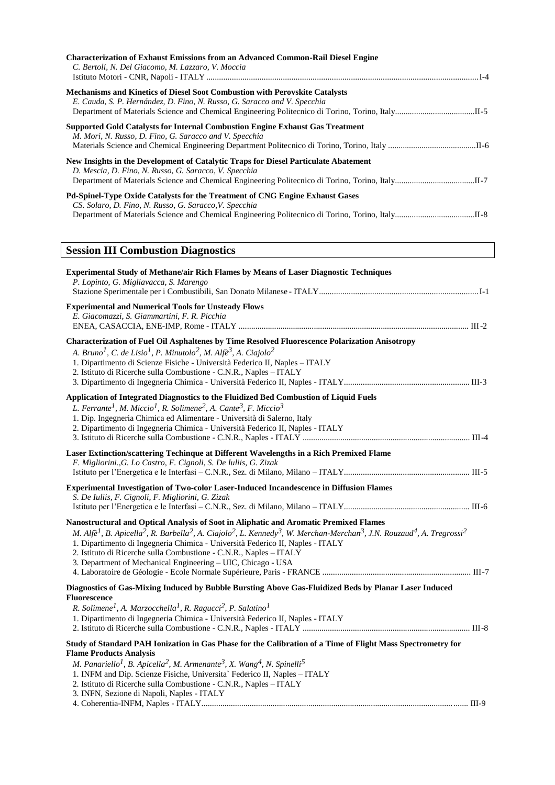| <b>Characterization of Exhaust Emissions from an Advanced Common-Rail Diesel Engine</b><br>C. Bertoli, N. Del Giacomo, M. Lazzaro, V. Moccia                                                                                                                                                                                                                                                                                                                                                                                              |
|-------------------------------------------------------------------------------------------------------------------------------------------------------------------------------------------------------------------------------------------------------------------------------------------------------------------------------------------------------------------------------------------------------------------------------------------------------------------------------------------------------------------------------------------|
| Mechanisms and Kinetics of Diesel Soot Combustion with Perovskite Catalysts<br>E. Cauda, S. P. Hernández, D. Fino, N. Russo, G. Saracco and V. Specchia                                                                                                                                                                                                                                                                                                                                                                                   |
| Supported Gold Catalysts for Internal Combustion Engine Exhaust Gas Treatment<br>M. Mori, N. Russo, D. Fino, G. Saracco and V. Specchia                                                                                                                                                                                                                                                                                                                                                                                                   |
| New Insights in the Development of Catalytic Traps for Diesel Particulate Abatement<br>D. Mescia, D. Fino, N. Russo, G. Saracco, V. Specchia                                                                                                                                                                                                                                                                                                                                                                                              |
| Pd-Spinel-Type Oxide Catalysts for the Treatment of CNG Engine Exhaust Gases<br>CS. Solaro, D. Fino, N. Russo, G. Saracco, V. Specchia                                                                                                                                                                                                                                                                                                                                                                                                    |
| <b>Session III Combustion Diagnostics</b>                                                                                                                                                                                                                                                                                                                                                                                                                                                                                                 |
| <b>Experimental Study of Methane/air Rich Flames by Means of Laser Diagnostic Techniques</b><br>P. Lopinto, G. Migliavacca, S. Marengo                                                                                                                                                                                                                                                                                                                                                                                                    |
| <b>Experimental and Numerical Tools for Unsteady Flows</b><br>E. Giacomazzi, S. Giammartini, F. R. Picchia                                                                                                                                                                                                                                                                                                                                                                                                                                |
| Characterization of Fuel Oil Asphaltenes by Time Resolved Fluorescence Polarization Anisotropy<br>A. Bruno <sup>1</sup> , C. de Lisio <sup>1</sup> , P. Minutolo <sup>2</sup> , M. Alfè <sup>3</sup> , A. Ciajolo <sup>2</sup><br>1. Dipartimento di Scienze Fisiche - Università Federico II, Naples - ITALY<br>2. Istituto di Ricerche sulla Combustione - C.N.R., Naples - ITALY                                                                                                                                                       |
| Application of Integrated Diagnostics to the Fluidized Bed Combustion of Liquid Fuels<br>L. Ferrante <sup>1</sup> , M. Miccio <sup>1</sup> , R. Solimene <sup>2</sup> , A. Cante <sup>3</sup> , F. Miccio <sup>3</sup><br>1. Dip. Ingegneria Chimica ed Alimentare - Università di Salerno, Italy<br>2. Dipartimento di Ingegneria Chimica - Università Federico II, Naples - ITALY                                                                                                                                                       |
| Laser Extinction/scattering Techinque at Different Wavelengths in a Rich Premixed Flame<br>F. Migliorini., G. Lo Castro, F. Cignoli, S. De Iuliis, G. Zizak                                                                                                                                                                                                                                                                                                                                                                               |
| Experimental Investigation of Two-color Laser-Induced Incandescence in Diffusion Flames<br>S. De Iuliis, F. Cignoli, F. Migliorini, G. Zizak                                                                                                                                                                                                                                                                                                                                                                                              |
| Nanostructural and Optical Analysis of Soot in Aliphatic and Aromatic Premixed Flames<br>M. Alfè <sup>1</sup> , B. Apicella <sup>2</sup> , R. Barbella <sup>2</sup> , A. Ciajolo <sup>2</sup> , L. Kennedy <sup>3</sup> , W. Merchan-Merchan <sup>3</sup> , J.N. Rouzaud <sup>4</sup> , A. Tregrossi <sup>2</sup><br>1. Dipartimento di Ingegneria Chimica - Università Federico II, Naples - ITALY<br>2. Istituto di Ricerche sulla Combustione - C.N.R., Naples - ITALY<br>3. Department of Mechanical Engineering - UIC, Chicago - USA |
| Diagnostics of Gas-Mixing Induced by Bubble Bursting Above Gas-Fluidized Beds by Planar Laser Induced<br><b>Fluorescence</b><br>R. Solimene <sup>1</sup> , A. Marzocchella <sup>1</sup> , R. Ragucci <sup>2</sup> , P. Salatino <sup>1</sup>                                                                                                                                                                                                                                                                                              |
| 1. Dipartimento di Ingegneria Chimica - Università Federico II, Naples - ITALY                                                                                                                                                                                                                                                                                                                                                                                                                                                            |

## **Study of Standard PAH Ionization in Gas Phase for the Calibration of a Time of Flight Mass Spectrometry for Flame Products Analysis**

*M. Panariello1, B. Apicella2, M. Armenante3, X. Wang4, N. Spinelli5*

- 1. INFM and Dip. Scienze Fisiche, Universita` Federico II, Naples ITALY
- 2. Istituto di Ricerche sulla Combustione C.N.R., Naples ITALY
- 3. INFN, Sezione di Napoli, Naples ITALY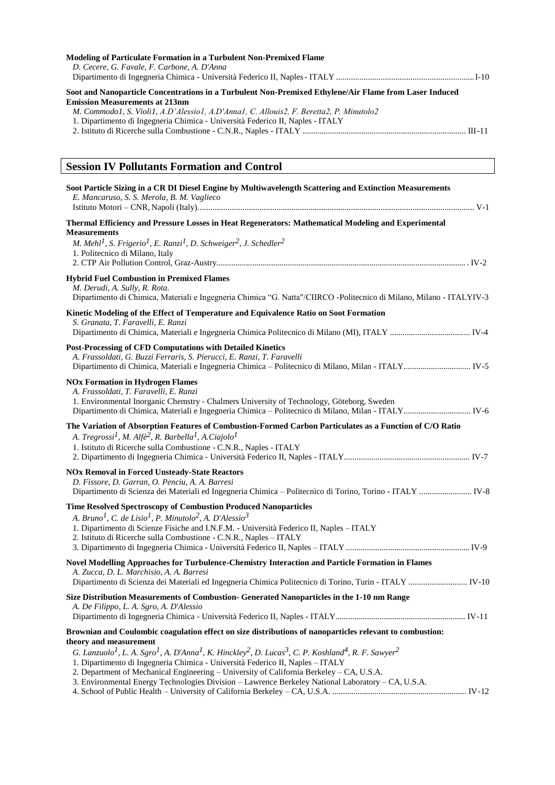| <b>Modeling of Particulate Formation in a Turbulent Non-Premixed Flame</b><br>D. Cecere, G. Favale, F. Carbone, A. D'Anna                                                                                                                                                                                                    |
|------------------------------------------------------------------------------------------------------------------------------------------------------------------------------------------------------------------------------------------------------------------------------------------------------------------------------|
|                                                                                                                                                                                                                                                                                                                              |
| Soot and Nanoparticle Concentrations in a Turbulent Non-Premixed Ethylene/Air Flame from Laser Induced<br><b>Emission Measurements at 213nm</b><br>M. Commodo1, S. Violi1, A.D'Alessio1, A.D'Anna1, C. Allouis2, F. Beretta2, P. Minutolo2<br>1. Dipartimento di Ingegneria Chimica - Università Federico II, Naples - ITALY |
|                                                                                                                                                                                                                                                                                                                              |
| <b>Session IV Pollutants Formation and Control</b>                                                                                                                                                                                                                                                                           |
| Soot Particle Sizing in a CR DI Diesel Engine by Multiwavelength Scattering and Extinction Measurements<br>E. Mancaruso, S. S. Merola, B. M. Vaglieco                                                                                                                                                                        |
| Thermal Efficiency and Pressure Losses in Heat Regenerators: Mathematical Modeling and Experimental<br><b>Measurements</b>                                                                                                                                                                                                   |
| M. Mehl <sup>1</sup> , S. Frigerio <sup>1</sup> , E. Ranzi <sup>1</sup> , D. Schweiger <sup>2</sup> , J. Schedler <sup>2</sup><br>1. Politecnico di Milano, Italy                                                                                                                                                            |
| <b>Hybrid Fuel Combustion in Premixed Flames</b>                                                                                                                                                                                                                                                                             |
| M. Derudi, A. Sully, R. Rota.<br>Dipartimento di Chimica, Materiali e Ingegneria Chimica "G. Natta"/CIIRCO -Politecnico di Milano, Milano - ITALYIV-3                                                                                                                                                                        |
| Kinetic Modeling of the Effect of Temperature and Equivalence Ratio on Soot Formation<br>S. Granata, T. Faravelli, E. Ranzi                                                                                                                                                                                                  |
| Post-Processing of CFD Computations with Detailed Kinetics<br>A. Frassoldati, G. Buzzi Ferraris, S. Pierucci, E. Ranzi, T. Faravelli                                                                                                                                                                                         |
| <b>NOx Formation in Hydrogen Flames</b><br>A. Frassoldati, T. Faravelli, E. Ranzi<br>1. Environmental Inorganic Chemstry - Chalmers University of Technology, Göteborg, Sweden                                                                                                                                               |
| The Variation of Absorption Features of Combustion-Formed Carbon Particulates as a Function of C/O Ratio<br>A. Tregrossi <sup>1</sup> , M. Alfè <sup>2</sup> , R. Barbella <sup>1</sup> , A. Ciajolo <sup>1</sup><br>1. Istituto di Ricerche sulla Combustione - C.N.R., Naples - ITALY                                      |
| <b>NOx Removal in Forced Unsteady-State Reactors</b><br>D. Fissore, D. Garran, O. Penciu, A. A. Barresi                                                                                                                                                                                                                      |

## **Time Resolved Spectroscopy of Combustion Produced Nanoparticles**

*A. Bruno1, C. de Lisio1, P. Minutolo2, A. D'Alessio3*

| 1. Dipartimento di Scienze Fisiche and I.N.F.M. - Università Federico II, Naples – ITALY |  |
|------------------------------------------------------------------------------------------|--|
| 2. Istituto di Ricerche sulla Combustione - C.N.R., Naples – ITALY                       |  |

## 3. Dipartimento di Ingegneria Chimica - Università Federico II, Naples – ITALY ...........................................................IV-9 **Novel Modelling Approaches for Turbulence-Chemistry Interaction and Particle Formation in Flames** *A. Zucca, D. L. Marchisio, A. A. Barresi* Dipartimento di Scienza dei Materiali ed Ingegneria Chimica Politecnico di Torino, Turin - ITALY ............................ IV-10 **Size Distribution Measurements of Combustion- Generated Nanoparticles in the 1-10 nm Range**

| A. De Filippo, L. A. Sgro, A. D'Alessio |  |  |
|-----------------------------------------|--|--|
|                                         |  |  |

#### **Brownian and Coulombic coagulation effect on size distributions of nanoparticles relevant to combustion: theory and measurement**

*G. Lanzuolo1, L. A. Sgro1, A. D'Anna1, K. Hinckley2, D. Lucas3, C. P. Koshland4, R. F. Sawyer2*

1. Dipartimento di Ingegneria Chimica - Università Federico II, Naples – ITALY

2. Department of Mechanical Engineering – University of California Berkeley – CA, U.S.A.

```
3. Environmental Energy Technologies Division – Lawrence Berkeley National Laboratory – CA, U.S.A.
```

```
4. School of Public Health – University of California Berkeley – CA, U.S.A. ................................................................ IV-12
```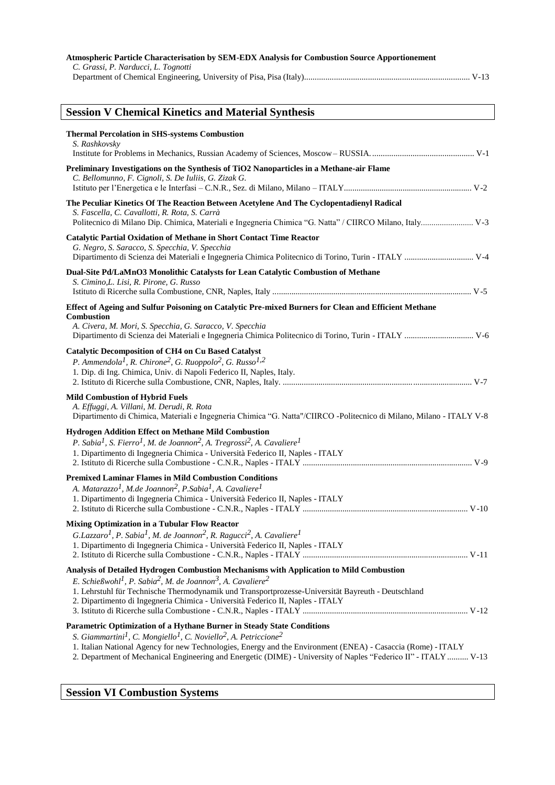| Atmospheric Particle Characterisation by SEM-EDX Analysis for Combustion Source Apportionement<br>C. Grassi, P. Narducci, L. Tognotti                                                                                                                                                                                                                                                                                         |
|-------------------------------------------------------------------------------------------------------------------------------------------------------------------------------------------------------------------------------------------------------------------------------------------------------------------------------------------------------------------------------------------------------------------------------|
| <b>Session V Chemical Kinetics and Material Synthesis</b>                                                                                                                                                                                                                                                                                                                                                                     |
| <b>Thermal Percolation in SHS-systems Combustion</b><br>S. Rashkovsky                                                                                                                                                                                                                                                                                                                                                         |
| Preliminary Investigations on the Synthesis of TiO2 Nanoparticles in a Methane-air Flame<br>C. Bellomunno, F. Cignoli, S. De Iuliis, G. Zizak G.                                                                                                                                                                                                                                                                              |
| The Peculiar Kinetics Of The Reaction Between Acetylene And The Cyclopentadienyl Radical<br>S. Fascella, C. Cavallotti, R. Rota, S. Carrà                                                                                                                                                                                                                                                                                     |
| <b>Catalytic Partial Oxidation of Methane in Short Contact Time Reactor</b><br>G. Negro, S. Saracco, S. Specchia, V. Specchia                                                                                                                                                                                                                                                                                                 |
| Dual-Site Pd/LaMnO3 Monolithic Catalysts for Lean Catalytic Combustion of Methane<br>S. Cimino, L. Lisi, R. Pirone, G. Russo                                                                                                                                                                                                                                                                                                  |
| Effect of Ageing and Sulfur Poisoning on Catalytic Pre-mixed Burners for Clean and Efficient Methane<br><b>Combustion</b><br>A. Civera, M. Mori, S. Specchia, G. Saracco, V. Specchia                                                                                                                                                                                                                                         |
| <b>Catalytic Decomposition of CH4 on Cu Based Catalyst</b><br>P. Ammendola <sup>1</sup> , R. Chirone <sup>2</sup> , G. Ruoppolo <sup>2</sup> , G. Russo <sup>1,2</sup><br>1. Dip. di Ing. Chimica, Univ. di Napoli Federico II, Naples, Italy.                                                                                                                                                                                |
| <b>Mild Combustion of Hybrid Fuels</b><br>A. Effuggi, A. Villani, M. Derudi, R. Rota<br>Dipartimento di Chimica, Materiali e Ingegneria Chimica "G. Natta"/CIIRCO -Politecnico di Milano, Milano - ITALY V-8                                                                                                                                                                                                                  |
| Hydrogen Addition Effect on Methane Mild Combustion<br>P. Sabia <sup>1</sup> , S. Fierro <sup>1</sup> , M. de Joannon <sup>2</sup> , A. Tregrossi <sup>2</sup> , A. Cavaliere <sup>1</sup><br>1. Dipartimento di Ingegneria Chimica - Università Federico II, Naples - ITALY                                                                                                                                                  |
| <b>Premixed Laminar Flames in Mild Combustion Conditions</b><br>A. Matarazzo <sup>1</sup> , M.de Joannon <sup>2</sup> , P.Sabia <sup>1</sup> , A. Cavaliere <sup>1</sup><br>1. Dipartimento di Ingegneria Chimica - Università Federico II, Naples - ITALY                                                                                                                                                                    |
| <b>Mixing Optimization in a Tubular Flow Reactor</b>                                                                                                                                                                                                                                                                                                                                                                          |
| G.Lazzaro <sup>1</sup> , P. Sabia <sup>1</sup> , M. de Joannon <sup>2</sup> , R. Ragucci <sup>2</sup> , A. Cavaliere <sup>1</sup><br>1. Dipartimento di Ingegneria Chimica - Università Federico II, Naples - ITALY                                                                                                                                                                                                           |
| Analysis of Detailed Hydrogen Combustion Mechanisms with Application to Mild Combustion<br>E. Schießwohl <sup>1</sup> , P. Sabia <sup>2</sup> , M. de Joannon <sup>3</sup> , A. Cavaliere <sup>2</sup><br>1. Lehrstuhl für Technische Thermodynamik und Transportprozesse-Universität Bayreuth - Deutschland<br>2. Dipartimento di Ingegneria Chimica - Università Federico II, Naples - ITALY                                |
| Parametric Optimization of a Hythane Burner in Steady State Conditions<br>S. Giammartini <sup>1</sup> , C. Mongiello <sup>1</sup> , C. Noviello <sup>2</sup> , A. Petriccione <sup>2</sup><br>1. Italian National Agency for new Technologies, Energy and the Environment (ENEA) - Casaccia (Rome) - ITALY<br>2. Department of Mechanical Engineering and Energetic (DIME) - University of Naples "Federico II" - ITALY  V-13 |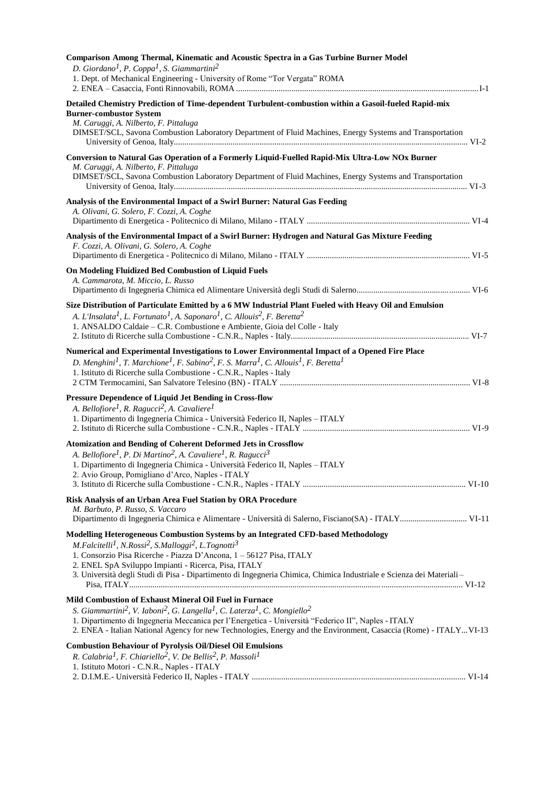| Comparison Among Thermal, Kinematic and Acoustic Spectra in a Gas Turbine Burner Model<br>D. Giordano <sup>1</sup> , P. Coppa <sup>1</sup> , S. Giammartini <sup>2</sup><br>1. Dept. of Mechanical Engineering - University of Rome "Tor Vergata" ROMA                                                                                                                                                                                               |
|------------------------------------------------------------------------------------------------------------------------------------------------------------------------------------------------------------------------------------------------------------------------------------------------------------------------------------------------------------------------------------------------------------------------------------------------------|
| Detailed Chemistry Prediction of Time-dependent Turbulent-combustion within a Gasoil-fueled Rapid-mix<br><b>Burner-combustor System</b><br>M. Caruggi, A. Nilberto, F. Pittaluga<br>DIMSET/SCL, Savona Combustion Laboratory Department of Fluid Machines, Energy Systems and Transportation                                                                                                                                                         |
| Conversion to Natural Gas Operation of a Formerly Liquid-Fuelled Rapid-Mix Ultra-Low NOx Burner<br>M. Caruggi, A. Nilberto, F. Pittaluga<br>DIMSET/SCL, Savona Combustion Laboratory Department of Fluid Machines, Energy Systems and Transportation                                                                                                                                                                                                 |
| Analysis of the Environmental Impact of a Swirl Burner: Natural Gas Feeding<br>A. Olivani, G. Solero, F. Cozzi, A. Coghe                                                                                                                                                                                                                                                                                                                             |
| Analysis of the Environmental Impact of a Swirl Burner: Hydrogen and Natural Gas Mixture Feeding<br>F. Cozzi, A. Olivani, G. Solero, A. Coghe                                                                                                                                                                                                                                                                                                        |
| <b>On Modeling Fluidized Bed Combustion of Liquid Fuels</b><br>A. Cammarota, M. Miccio, L. Russo                                                                                                                                                                                                                                                                                                                                                     |
| Size Distribution of Particulate Emitted by a 6 MW Industrial Plant Fueled with Heavy Oil and Emulsion<br>A. L'Insalata <sup>1</sup> , L. Fortunato <sup>1</sup> , A. Saponaro <sup>1</sup> , C. Allouis <sup>2</sup> , F. Beretta <sup>2</sup><br>1. ANSALDO Caldaie - C.R. Combustione e Ambiente, Gioia del Colle - Italy                                                                                                                         |
| Numerical and Experimental Investigations to Lower Environmental Impact of a Opened Fire Place<br>D. Menghini <sup>1</sup> , T. Marchione <sup>1</sup> , F. Sabino <sup>2</sup> , F. S. Marra <sup>1</sup> , C. Allouis <sup>1</sup> , F. Beretta <sup>1</sup><br>1. Istituto di Ricerche sulla Combustione - C.N.R., Naples - Italy                                                                                                                 |
| Pressure Dependence of Liquid Jet Bending in Cross-flow<br>A. Bellofiore <sup>1</sup> , R. Ragucci <sup>2</sup> , A. Cavaliere <sup>1</sup><br>1. Dipartimento di Ingegneria Chimica - Università Federico II, Naples - ITALY                                                                                                                                                                                                                        |
| <b>Atomization and Bending of Coherent Deformed Jets in Crossflow</b><br>A. Bellofiore <sup>1</sup> , P. Di Martino <sup>2</sup> , A. Cavaliere <sup>1</sup> , R. Ragucci <sup>3</sup><br>1. Dipartimento di Ingegneria Chimica - Università Federico II, Naples - ITALY<br>2. Avio Group, Pomigliano d'Arco, Naples - ITALY                                                                                                                         |
| Risk Analysis of an Urban Area Fuel Station by ORA Procedure<br>M. Barbuto, P. Russo, S. Vaccaro                                                                                                                                                                                                                                                                                                                                                     |
| Modelling Heterogeneous Combustion Systems by an Integrated CFD-based Methodology<br>M. Falcitelli <sup>1</sup> , N. Rossi <sup>2</sup> , S. Malloggi <sup>2</sup> , L. Tognotti <sup>3</sup><br>1. Consorzio Pisa Ricerche - Piazza D'Ancona, 1 - 56127 Pisa, ITALY<br>2. ENEL SpA Sviluppo Impianti - Ricerca, Pisa, ITALY<br>3. Università degli Studi di Pisa - Dipartimento di Ingegneria Chimica, Chimica Industriale e Scienza dei Materiali- |
| Mild Combustion of Exhaust Mineral Oil Fuel in Furnace<br>S. Giammartini <sup>2</sup> , V. Iaboni <sup>2</sup> , G. Langella <sup>1</sup> , C. Laterza <sup>1</sup> , C. Mongiello <sup>2</sup><br>1. Dipartimento di Ingegneria Meccanica per l'Energetica - Università "Federico II", Naples - ITALY<br>2. ENEA - Italian National Agency for new Technologies, Energy and the Environment, Casaccia (Rome) - ITALYVI-13                           |
| <b>Combustion Behaviour of Pyrolysis Oil/Diesel Oil Emulsions</b><br>R. Calabria <sup>1</sup> , F. Chiariello <sup>2</sup> , V. De Bellis <sup>2</sup> , P. Massoli <sup>1</sup><br>1. Istituto Motori - C.N.R., Naples - ITALY                                                                                                                                                                                                                      |